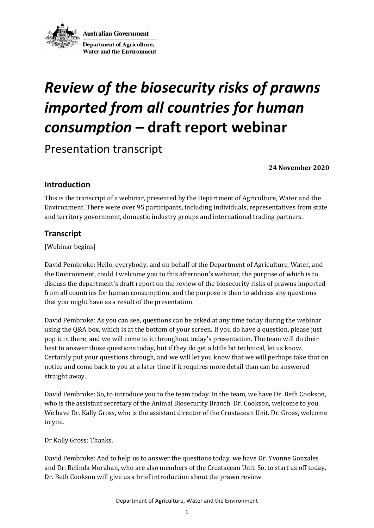

**Australian Government Department of Agriculture, Water and the Environment** 

# *Review of the biosecurity risks of prawns imported from all countries for human consumption* **– draft report webinar**

Presentation transcript

**24 November 2020** 

### **Introduction**

This is the transcript of a webinar, presented by the Department of Agriculture, Water and the Environment. There were over 95 participants, including individuals, representatives from state and territory government, domestic industry groups and international trading partners.

### **Transcript**

[Webinar begins]

David Pembroke: Hello, everybody, and on behalf of the Department of Agriculture, Water, and the Environment, could I welcome you to this afternoon's webinar, the purpose of which is to discuss the department's draft report on the review of the biosecurity risks of prawns imported from all countries for human consumption, and the purpose is then to address any questions that you might have as a result of the presentation.

David Pembroke: As you can see, questions can be asked at any time today during the webinar using the Q&A box, which is at the bottom of your screen. If you do have a question, please just pop it in there, and we will come to it throughout today's presentation. The team will do their best to answer those questions today, but if they do get a little bit technical, let us know. Certainly put your questions through, and we will let you know that we will perhaps take that on notice and come back to you at a later time if it requires more detail than can be answered straight away.

David Pembroke: So, to introduce you to the team today. In the team, we have Dr. Beth Cookson, who is the assistant secretary of the Animal Biosecurity Branch. Dr. Cookson, welcome to you. We have Dr. Kally Gross, who is the assistant director of the Crustacean Unit. Dr. Gross, welcome to you.

Dr Kally Gross: Thanks.

David Pembroke: And to help us to answer the questions today, we have Dr. Yvonne Gonzales and Dr. Belinda Morahan, who are also members of the Crustacean Unit. So, to start us off today, Dr. Beth Cookson will give us a brief introduction about the prawn review.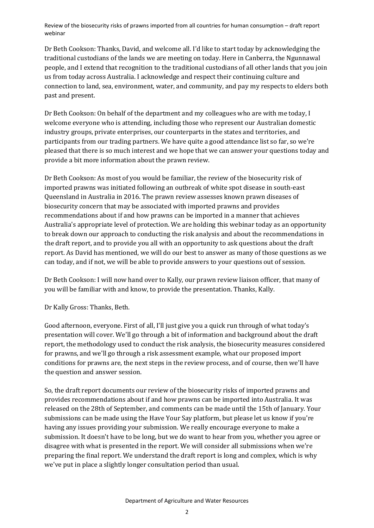Dr Beth Cookson: Thanks, David, and welcome all. I'd like to start today by acknowledging the traditional custodians of the lands we are meeting on today. Here in Canberra, the Ngunnawal people, and I extend that recognition to the traditional custodians of all other lands that you join us from today across Australia. I acknowledge and respect their continuing culture and connection to land, sea, environment, water, and community, and pay my respects to elders both past and present.

Dr Beth Cookson: On behalf of the department and my colleagues who are with me today, I welcome everyone who is attending, including those who represent our Australian domestic industry groups, private enterprises, our counterparts in the states and territories, and participants from our trading partners. We have quite a good attendance list so far, so we're pleased that there is so much interest and we hope that we can answer your questions today and provide a bit more information about the prawn review.

Dr Beth Cookson: As most of you would be familiar, the review of the biosecurity risk of imported prawns was initiated following an outbreak of white spot disease in south-east Queensland in Australia in 2016. The prawn review assesses known prawn diseases of biosecurity concern that may be associated with imported prawns and provides recommendations about if and how prawns can be imported in a manner that achieves Australia's appropriate level of protection. We are holding this webinar today as an opportunity to break down our approach to conducting the risk analysis and about the recommendations in the draft report, and to provide you all with an opportunity to ask questions about the draft report. As David has mentioned, we will do our best to answer as many of those questions as we can today, and if not, we will be able to provide answers to your questions out of session.

Dr Beth Cookson: I will now hand over to Kally, our prawn review liaison officer, that many of you will be familiar with and know, to provide the presentation. Thanks, Kally.

Dr Kally Gross: Thanks, Beth.

Good afternoon, everyone. First of all, I'll just give you a quick run through of what today's presentation will cover. We'll go through a bit of information and background about the draft report, the methodology used to conduct the risk analysis, the biosecurity measures considered for prawns, and we'll go through a risk assessment example, what our proposed import conditions for prawns are, the next steps in the review process, and of course, then we'll have the question and answer session.

So, the draft report documents our review of the biosecurity risks of imported prawns and provides recommendations about if and how prawns can be imported into Australia. It was released on the 28th of September, and comments can be made until the 15th of January. Your submissions can be made using the Have Your Say platform, but please let us know if you're having any issues providing your submission. We really encourage everyone to make a submission. It doesn't have to be long, but we do want to hear from you, whether you agree or disagree with what is presented in the report. We will consider all submissions when we're preparing the final report. We understand the draft report is long and complex, which is why we've put in place a slightly longer consultation period than usual.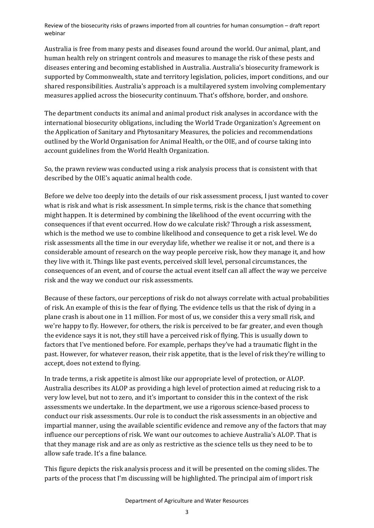Australia is free from many pests and diseases found around the world. Our animal, plant, and human health rely on stringent controls and measures to manage the risk of these pests and diseases entering and becoming established in Australia. Australia's biosecurity framework is supported by Commonwealth, state and territory legislation, policies, import conditions, and our shared responsibilities. Australia's approach is a multilayered system involving complementary measures applied across the biosecurity continuum. That's offshore, border, and onshore.

The department conducts its animal and animal product risk analyses in accordance with the international biosecurity obligations, including the World Trade Organization's Agreement on the Application of Sanitary and Phytosanitary Measures, the policies and recommendations outlined by the World Organisation for Animal Health, or the OIE, and of course taking into account guidelines from the World Health Organization.

So, the prawn review was conducted using a risk analysis process that is consistent with that described by the OIE's aquatic animal health code.

Before we delve too deeply into the details of our risk assessment process, I just wanted to cover what is risk and what is risk assessment. In simple terms, risk is the chance that something might happen. It is determined by combining the likelihood of the event occurring with the consequences if that event occurred. How do we calculate risk? Through a risk assessment, which is the method we use to combine likelihood and consequence to get a risk level. We do risk assessments all the time in our everyday life, whether we realise it or not, and there is a considerable amount of research on the way people perceive risk, how they manage it, and how they live with it. Things like past events, perceived skill level, personal circumstances, the consequences of an event, and of course the actual event itself can all affect the way we perceive risk and the way we conduct our risk assessments.

Because of these factors, our perceptions of risk do not always correlate with actual probabilities of risk. An example of this is the fear of flying. The evidence tells us that the risk of dying in a plane crash is about one in 11 million. For most of us, we consider this a very small risk, and we're happy to fly. However, for others, the risk is perceived to be far greater, and even though the evidence says it is not, they still have a perceived risk of flying. This is usually down to factors that I've mentioned before. For example, perhaps they've had a traumatic flight in the past. However, for whatever reason, their risk appetite, that is the level of risk they're willing to accept, does not extend to flying.

In trade terms, a risk appetite is almost like our appropriate level of protection, or ALOP. Australia describes its ALOP as providing a high level of protection aimed at reducing risk to a very low level, but not to zero, and it's important to consider this in the context of the risk assessments we undertake. In the department, we use a rigorous science-based process to conduct our risk assessments. Our role is to conduct the risk assessments in an objective and impartial manner, using the available scientific evidence and remove any of the factors that may influence our perceptions of risk. We want our outcomes to achieve Australia's ALOP. That is that they manage risk and are as only as restrictive as the science tells us they need to be to allow safe trade. It's a fine balance.

This figure depicts the risk analysis process and it will be presented on the coming slides. The parts of the process that I'm discussing will be highlighted. The principal aim of import risk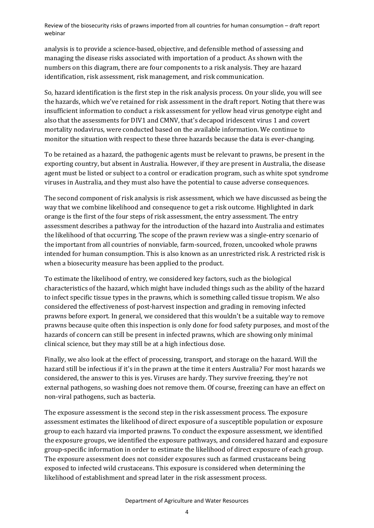analysis is to provide a science-based, objective, and defensible method of assessing and managing the disease risks associated with importation of a product. As shown with the numbers on this diagram, there are four components to a risk analysis. They are hazard identification, risk assessment, risk management, and risk communication.

So, hazard identification is the first step in the risk analysis process. On your slide, you will see the hazards, which we've retained for risk assessment in the draft report. Noting that there was insufficient information to conduct a risk assessment for yellow head virus genotype eight and also that the assessments for DIV1 and CMNV, that's decapod iridescent virus 1 and covert mortality nodavirus, were conducted based on the available information. We continue to monitor the situation with respect to these three hazards because the data is ever-changing.

To be retained as a hazard, the pathogenic agents must be relevant to prawns, be present in the exporting country, but absent in Australia. However, if they are present in Australia, the disease agent must be listed or subject to a control or eradication program, such as white spot syndrome viruses in Australia, and they must also have the potential to cause adverse consequences.

The second component of risk analysis is risk assessment, which we have discussed as being the way that we combine likelihood and consequence to get a risk outcome. Highlighted in dark orange is the first of the four steps of risk assessment, the entry assessment. The entry assessment describes a pathway for the introduction of the hazard into Australia and estimates the likelihood of that occurring. The scope of the prawn review was a single-entry scenario of the important from all countries of nonviable, farm-sourced, frozen, uncooked whole prawns intended for human consumption. This is also known as an unrestricted risk. A restricted risk is when a biosecurity measure has been applied to the product.

To estimate the likelihood of entry, we considered key factors, such as the biological characteristics of the hazard, which might have included things such as the ability of the hazard to infect specific tissue types in the prawns, which is something called tissue tropism. We also considered the effectiveness of post-harvest inspection and grading in removing infected prawns before export. In general, we considered that this wouldn't be a suitable way to remove prawns because quite often this inspection is only done for food safety purposes, and most of the hazards of concern can still be present in infected prawns, which are showing only minimal clinical science, but they may still be at a high infectious dose.

Finally, we also look at the effect of processing, transport, and storage on the hazard. Will the hazard still be infectious if it's in the prawn at the time it enters Australia? For most hazards we considered, the answer to this is yes. Viruses are hardy. They survive freezing, they're not external pathogens, so washing does not remove them. Of course, freezing can have an effect on non-viral pathogens, such as bacteria.

The exposure assessment is the second step in the risk assessment process. The exposure assessment estimates the likelihood of direct exposure of a susceptible population or exposure group to each hazard via imported prawns. To conduct the exposure assessment, we identified the exposure groups, we identified the exposure pathways, and considered hazard and exposure group-specific information in order to estimate the likelihood of direct exposure of each group. The exposure assessment does not consider exposures such as farmed crustaceans being exposed to infected wild crustaceans. This exposure is considered when determining the likelihood of establishment and spread later in the risk assessment process.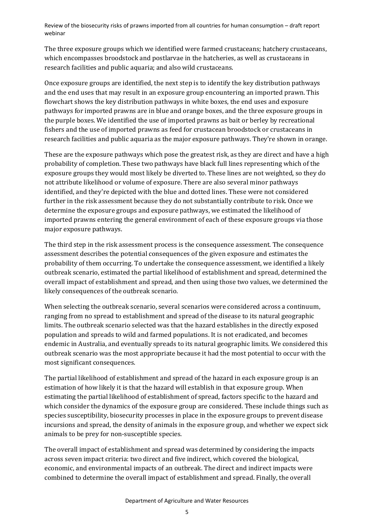The three exposure groups which we identified were farmed crustaceans; hatchery crustaceans, which encompasses broodstock and postlarvae in the hatcheries, as well as crustaceans in research facilities and public aquaria; and also wild crustaceans.

Once exposure groups are identified, the next step is to identify the key distribution pathways and the end uses that may result in an exposure group encountering an imported prawn. This flowchart shows the key distribution pathways in white boxes, the end uses and exposure pathways for imported prawns are in blue and orange boxes, and the three exposure groups in the purple boxes. We identified the use of imported prawns as bait or berley by recreational fishers and the use of imported prawns as feed for crustacean broodstock or crustaceans in research facilities and public aquaria as the major exposure pathways. They're shown in orange.

These are the exposure pathways which pose the greatest risk, as they are direct and have a high probability of completion. These two pathways have black full lines representing which of the exposure groups they would most likely be diverted to. These lines are not weighted, so they do not attribute likelihood or volume of exposure. There are also several minor pathways identified, and they're depicted with the blue and dotted lines. These were not considered further in the risk assessment because they do not substantially contribute to risk. Once we determine the exposure groups and exposure pathways, we estimated the likelihood of imported prawns entering the general environment of each of these exposure groups via those major exposure pathways.

The third step in the risk assessment process is the consequence assessment. The consequence assessment describes the potential consequences of the given exposure and estimates the probability of them occurring. To undertake the consequence assessment, we identified a likely outbreak scenario, estimated the partial likelihood of establishment and spread, determined the overall impact of establishment and spread, and then using those two values, we determined the likely consequences of the outbreak scenario.

When selecting the outbreak scenario, several scenarios were considered across a continuum, ranging from no spread to establishment and spread of the disease to its natural geographic limits. The outbreak scenario selected was that the hazard establishes in the directly exposed population and spreads to wild and farmed populations. It is not eradicated, and becomes endemic in Australia, and eventually spreads to its natural geographic limits. We considered this outbreak scenario was the most appropriate because it had the most potential to occur with the most significant consequences.

The partial likelihood of establishment and spread of the hazard in each exposure group is an estimation of how likely it is that the hazard will establish in that exposure group. When estimating the partial likelihood of establishment of spread, factors specific to the hazard and which consider the dynamics of the exposure group are considered. These include things such as species susceptibility, biosecurity processes in place in the exposure groups to prevent disease incursions and spread, the density of animals in the exposure group, and whether we expect sick animals to be prey for non-susceptible species.

The overall impact of establishment and spread was determined by considering the impacts across seven impact criteria: two direct and five indirect, which covered the biological, economic, and environmental impacts of an outbreak. The direct and indirect impacts were combined to determine the overall impact of establishment and spread. Finally, the overall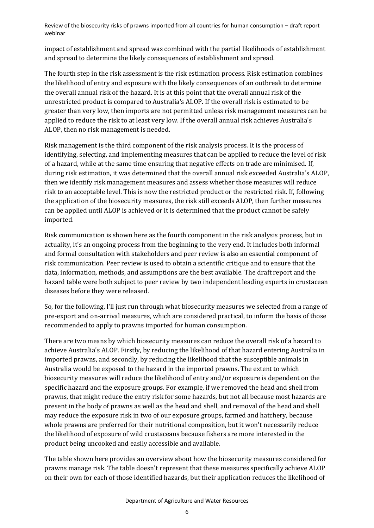impact of establishment and spread was combined with the partial likelihoods of establishment and spread to determine the likely consequences of establishment and spread.

The fourth step in the risk assessment is the risk estimation process. Risk estimation combines the likelihood of entry and exposure with the likely consequences of an outbreak to determine the overall annual risk of the hazard. It is at this point that the overall annual risk of the unrestricted product is compared to Australia's ALOP. If the overall risk is estimated to be greater than very low, then imports are not permitted unless risk management measures can be applied to reduce the risk to at least very low. If the overall annual risk achieves Australia's ALOP, then no risk management is needed.

Risk management is the third component of the risk analysis process. It is the process of identifying, selecting, and implementing measures that can be applied to reduce the level of risk of a hazard, while at the same time ensuring that negative effects on trade are minimised. If, during risk estimation, it was determined that the overall annual risk exceeded Australia's ALOP, then we identify risk management measures and assess whether those measures will reduce risk to an acceptable level. This is now the restricted product or the restricted risk. If, following the application of the biosecurity measures, the risk still exceeds ALOP, then further measures can be applied until ALOP is achieved or it is determined that the product cannot be safely imported.

Risk communication is shown here as the fourth component in the risk analysis process, but in actuality, it's an ongoing process from the beginning to the very end. It includes both informal and formal consultation with stakeholders and peer review is also an essential component of risk communication. Peer review is used to obtain a scientific critique and to ensure that the data, information, methods, and assumptions are the best available. The draft report and the hazard table were both subject to peer review by two independent leading experts in crustacean diseases before they were released.

So, for the following, I'll just run through what biosecurity measures we selected from a range of pre-export and on-arrival measures, which are considered practical, to inform the basis of those recommended to apply to prawns imported for human consumption.

There are two means by which biosecurity measures can reduce the overall risk of a hazard to achieve Australia's ALOP. Firstly, by reducing the likelihood of that hazard entering Australia in imported prawns, and secondly, by reducing the likelihood that the susceptible animals in Australia would be exposed to the hazard in the imported prawns. The extent to which biosecurity measures will reduce the likelihood of entry and/or exposure is dependent on the specific hazard and the exposure groups. For example, if we removed the head and shell from prawns, that might reduce the entry risk for some hazards, but not all because most hazards are present in the body of prawns as well as the head and shell, and removal of the head and shell may reduce the exposure risk in two of our exposure groups, farmed and hatchery, because whole prawns are preferred for their nutritional composition, but it won't necessarily reduce the likelihood of exposure of wild crustaceans because fishers are more interested in the product being uncooked and easily accessible and available.

The table shown here provides an overview about how the biosecurity measures considered for prawns manage risk. The table doesn't represent that these measures specifically achieve ALOP on their own for each of those identified hazards, but their application reduces the likelihood of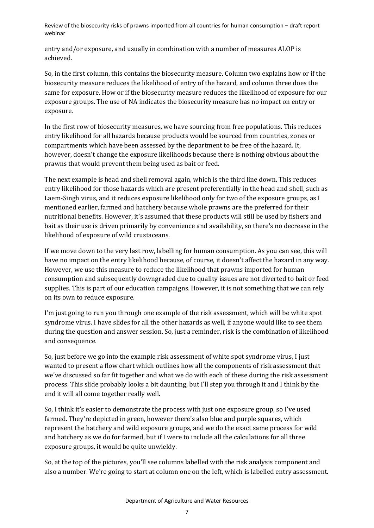entry and/or exposure, and usually in combination with a number of measures ALOP is achieved.

So, in the first column, this contains the biosecurity measure. Column two explains how or if the biosecurity measure reduces the likelihood of entry of the hazard, and column three does the same for exposure. How or if the biosecurity measure reduces the likelihood of exposure for our exposure groups. The use of NA indicates the biosecurity measure has no impact on entry or exposure.

In the first row of biosecurity measures, we have sourcing from free populations. This reduces entry likelihood for all hazards because products would be sourced from countries, zones or compartments which have been assessed by the department to be free of the hazard. It, however, doesn't change the exposure likelihoods because there is nothing obvious about the prawns that would prevent them being used as bait or feed.

The next example is head and shell removal again, which is the third line down. This reduces entry likelihood for those hazards which are present preferentially in the head and shell, such as Laem-Singh virus, and it reduces exposure likelihood only for two of the exposure groups, as I mentioned earlier, farmed and hatchery because whole prawns are the preferred for their nutritional benefits. However, it's assumed that these products will still be used by fishers and bait as their use is driven primarily by convenience and availability, so there's no decrease in the likelihood of exposure of wild crustaceans.

If we move down to the very last row, labelling for human consumption. As you can see, this will have no impact on the entry likelihood because, of course, it doesn't affect the hazard in any way. However, we use this measure to reduce the likelihood that prawns imported for human consumption and subsequently downgraded due to quality issues are not diverted to bait or feed supplies. This is part of our education campaigns. However, it is not something that we can rely on its own to reduce exposure.

I'm just going to run you through one example of the risk assessment, which will be white spot syndrome virus. I have slides for all the other hazards as well, if anyone would like to see them during the question and answer session. So, just a reminder, risk is the combination of likelihood and consequence.

So, just before we go into the example risk assessment of white spot syndrome virus, I just wanted to present a flow chart which outlines how all the components of risk assessment that we've discussed so far fit together and what we do with each of these during the risk assessment process. This slide probably looks a bit daunting, but I'll step you through it and I think by the end it will all come together really well.

So, I think it's easier to demonstrate the process with just one exposure group, so I've used farmed. They're depicted in green, however there's also blue and purple squares, which represent the hatchery and wild exposure groups, and we do the exact same process for wild and hatchery as we do for farmed, but if I were to include all the calculations for all three exposure groups, it would be quite unwieldy.

So, at the top of the pictures, you'll see columns labelled with the risk analysis component and also a number. We're going to start at column one on the left, which is labelled entry assessment.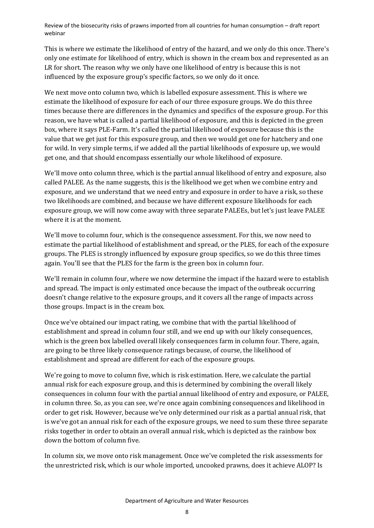This is where we estimate the likelihood of entry of the hazard, and we only do this once. There's only one estimate for likelihood of entry, which is shown in the cream box and represented as an LR for short. The reason why we only have one likelihood of entry is because this is not influenced by the exposure group's specific factors, so we only do it once.

We next move onto column two, which is labelled exposure assessment. This is where we estimate the likelihood of exposure for each of our three exposure groups. We do this three times because there are differences in the dynamics and specifics of the exposure group. For this reason, we have what is called a partial likelihood of exposure, and this is depicted in the green box, where it says PLE-Farm. It's called the partial likelihood of exposure because this is the value that we get just for this exposure group, and then we would get one for hatchery and one for wild. In very simple terms, if we added all the partial likelihoods of exposure up, we would get one, and that should encompass essentially our whole likelihood of exposure.

We'll move onto column three, which is the partial annual likelihood of entry and exposure, also called PALEE. As the name suggests, this is the likelihood we get when we combine entry and exposure, and we understand that we need entry and exposure in order to have a risk, so these two likelihoods are combined, and because we have different exposure likelihoods for each exposure group, we will now come away with three separate PALEEs, but let's just leave PALEE where it is at the moment.

We'll move to column four, which is the consequence assessment. For this, we now need to estimate the partial likelihood of establishment and spread, or the PLES, for each of the exposure groups. The PLES is strongly influenced by exposure group specifics, so we do this three times again. You'll see that the PLES for the farm is the green box in column four.

We'll remain in column four, where we now determine the impact if the hazard were to establish and spread. The impact is only estimated once because the impact of the outbreak occurring doesn't change relative to the exposure groups, and it covers all the range of impacts across those groups. Impact is in the cream box.

Once we've obtained our impact rating, we combine that with the partial likelihood of establishment and spread in column four still, and we end up with our likely consequences, which is the green box labelled overall likely consequences farm in column four. There, again, are going to be three likely consequence ratings because, of course, the likelihood of establishment and spread are different for each of the exposure groups.

We're going to move to column five, which is risk estimation. Here, we calculate the partial annual risk for each exposure group, and this is determined by combining the overall likely consequences in column four with the partial annual likelihood of entry and exposure, or PALEE, in column three. So, as you can see, we're once again combining consequences and likelihood in order to get risk. However, because we've only determined our risk as a partial annual risk, that is we've got an annual risk for each of the exposure groups, we need to sum these three separate risks together in order to obtain an overall annual risk, which is depicted as the rainbow box down the bottom of column five.

In column six, we move onto risk management. Once we've completed the risk assessments for the unrestricted risk, which is our whole imported, uncooked prawns, does it achieve ALOP? Is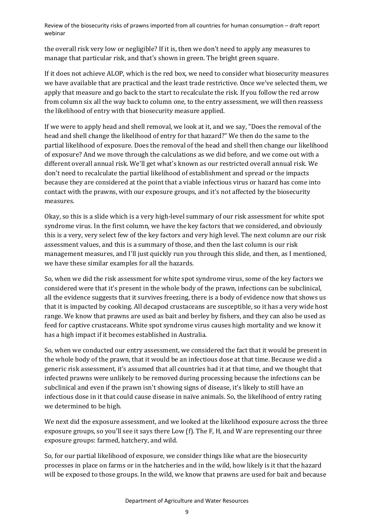the overall risk very low or negligible? If it is, then we don't need to apply any measures to manage that particular risk, and that's shown in green. The bright green square.

If it does not achieve ALOP, which is the red box, we need to consider what biosecurity measures we have available that are practical and the least trade restrictive. Once we've selected them, we apply that measure and go back to the start to recalculate the risk. If you follow the red arrow from column six all the way back to column one, to the entry assessment, we will then reassess the likelihood of entry with that biosecurity measure applied.

If we were to apply head and shell removal, we look at it, and we say, "Does the removal of the head and shell change the likelihood of entry for that hazard?" We then do the same to the partial likelihood of exposure. Does the removal of the head and shell then change our likelihood of exposure? And we move through the calculations as we did before, and we come out with a different overall annual risk. We'll get what's known as our restricted overall annual risk. We don't need to recalculate the partial likelihood of establishment and spread or the impacts because they are considered at the point that a viable infectious virus or hazard has come into contact with the prawns, with our exposure groups, and it's not affected by the biosecurity measures.

Okay, so this is a slide which is a very high-level summary of our risk assessment for white spot syndrome virus. In the first column, we have the key factors that we considered, and obviously this is a very, very select few of the key factors and very high level. The next column are our risk assessment values, and this is a summary of those, and then the last column is our risk management measures, and I'll just quickly run you through this slide, and then, as I mentioned, we have these similar examples for all the hazards.

So, when we did the risk assessment for white spot syndrome virus, some of the key factors we considered were that it's present in the whole body of the prawn, infections can be subclinical, all the evidence suggests that it survives freezing, there is a body of evidence now that shows us that it is impacted by cooking. All decapod crustaceans are susceptible, so it has a very wide host range. We know that prawns are used as bait and berley by fishers, and they can also be used as feed for captive crustaceans. White spot syndrome virus causes high mortality and we know it has a high impact if it becomes established in Australia.

So, when we conducted our entry assessment, we considered the fact that it would be present in the whole body of the prawn, that it would be an infectious dose at that time. Because we did a generic risk assessment, it's assumed that all countries had it at that time, and we thought that infected prawns were unlikely to be removed during processing because the infections can be subclinical and even if the prawn isn't showing signs of disease, it's likely to still have an infectious dose in it that could cause disease in naïve animals. So, the likelihood of entry rating we determined to be high.

We next did the exposure assessment, and we looked at the likelihood exposure across the three exposure groups, so you'll see it says there Low (f). The F, H, and W are representing our three exposure groups: farmed, hatchery, and wild.

So, for our partial likelihood of exposure, we consider things like what are the biosecurity processes in place on farms or in the hatcheries and in the wild, how likely is it that the hazard will be exposed to those groups. In the wild, we know that prawns are used for bait and because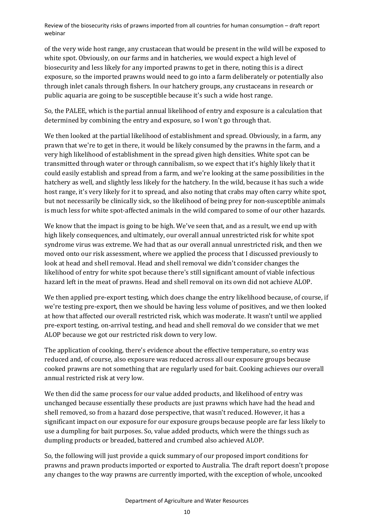of the very wide host range, any crustacean that would be present in the wild will be exposed to white spot. Obviously, on our farms and in hatcheries, we would expect a high level of biosecurity and less likely for any imported prawns to get in there, noting this is a direct exposure, so the imported prawns would need to go into a farm deliberately or potentially also through inlet canals through fishers. In our hatchery groups, any crustaceans in research or public aquaria are going to be susceptible because it's such a wide host range.

So, the PALEE, which is the partial annual likelihood of entry and exposure is a calculation that determined by combining the entry and exposure, so I won't go through that.

We then looked at the partial likelihood of establishment and spread. Obviously, in a farm, any prawn that we're to get in there, it would be likely consumed by the prawns in the farm, and a very high likelihood of establishment in the spread given high densities. White spot can be transmitted through water or through cannibalism, so we expect that it's highly likely that it could easily establish and spread from a farm, and we're looking at the same possibilities in the hatchery as well, and slightly less likely for the hatchery. In the wild, because it has such a wide host range, it's very likely for it to spread, and also noting that crabs may often carry white spot, but not necessarily be clinically sick, so the likelihood of being prey for non-susceptible animals is much less for white spot-affected animals in the wild compared to some of our other hazards.

We know that the impact is going to be high. We've seen that, and as a result, we end up with high likely consequences, and ultimately, our overall annual unrestricted risk for white spot syndrome virus was extreme. We had that as our overall annual unrestricted risk, and then we moved onto our risk assessment, where we applied the process that I discussed previously to look at head and shell removal. Head and shell removal we didn't consider changes the likelihood of entry for white spot because there's still significant amount of viable infectious hazard left in the meat of prawns. Head and shell removal on its own did not achieve ALOP.

We then applied pre-export testing, which does change the entry likelihood because, of course, if we're testing pre-export, then we should be having less volume of positives, and we then looked at how that affected our overall restricted risk, which was moderate. It wasn't until we applied pre-export testing, on-arrival testing, and head and shell removal do we consider that we met ALOP because we got our restricted risk down to very low.

The application of cooking, there's evidence about the effective temperature, so entry was reduced and, of course, also exposure was reduced across all our exposure groups because cooked prawns are not something that are regularly used for bait. Cooking achieves our overall annual restricted risk at very low.

We then did the same process for our value added products, and likelihood of entry was unchanged because essentially these products are just prawns which have had the head and shell removed, so from a hazard dose perspective, that wasn't reduced. However, it has a significant impact on our exposure for our exposure groups because people are far less likely to use a dumpling for bait purposes. So, value added products, which were the things such as dumpling products or breaded, battered and crumbed also achieved ALOP.

So, the following will just provide a quick summary of our proposed import conditions for prawns and prawn products imported or exported to Australia. The draft report doesn't propose any changes to the way prawns are currently imported, with the exception of whole, uncooked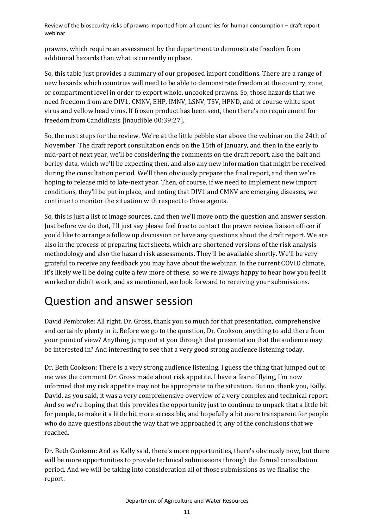prawns, which require an assessment by the department to demonstrate freedom from additional hazards than what is currently in place.

So, this table just provides a summary of our proposed import conditions. There are a range of new hazards which countries will need to be able to demonstrate freedom at the country, zone, or compartment level in order to export whole, uncooked prawns. So, those hazards that we need freedom from are DIV1, CMNV, EHP, IMNV, LSNV, TSV, HPND, and of course white spot virus and yellow head virus. If frozen product has been sent, then there's no requirement for freedom from Candidiasis [inaudible 00:39:27].

So, the next steps for the review. We're at the little pebble star above the webinar on the 24th of November. The draft report consultation ends on the 15th of January, and then in the early to mid-part of next year, we'll be considering the comments on the draft report, also the bait and berley data, which we'll be expecting then, and also any new information that might be received during the consultation period. We'll then obviously prepare the final report, and then we're hoping to release mid to late-next year. Then, of course, if we need to implement new import conditions, they'll be put in place, and noting that DIV1 and CMNV are emerging diseases, we continue to monitor the situation with respect to those agents.

So, this is just a list of image sources, and then we'll move onto the question and answer session. Just before we do that, I'll just say please feel free to contact the prawn review liaison officer if you'd like to arrange a follow up discussion or have any questions about the draft report. We are also in the process of preparing fact sheets, which are shortened versions of the risk analysis methodology and also the hazard risk assessments. They'll be available shortly. We'll be very grateful to receive any feedback you may have about the webinar. In the current COVID climate, it's likely we'll be doing quite a few more of these, so we're always happy to hear how you feel it worked or didn't work, and as mentioned, we look forward to receiving your submissions.

## Question and answer session

David Pembroke: All right. Dr. Gross, thank you so much for that presentation, comprehensive and certainly plenty in it. Before we go to the question, Dr. Cookson, anything to add there from your point of view? Anything jump out at you through that presentation that the audience may be interested in? And interesting to see that a very good strong audience listening today.

Dr. Beth Cookson: There is a very strong audience listening. I guess the thing that jumped out of me was the comment Dr. Gross made about risk appetite. I have a fear of flying, I'm now informed that my risk appetite may not be appropriate to the situation. But no, thank you, Kally. David, as you said, it was a very comprehensive overview of a very complex and technical report. And so we're hoping that this provides the opportunity just to continue to unpack that a little bit for people, to make it a little bit more accessible, and hopefully a bit more transparent for people who do have questions about the way that we approached it, any of the conclusions that we reached.

Dr. Beth Cookson: And as Kally said, there's more opportunities, there's obviously now, but there will be more opportunities to provide technical submissions through the formal consultation period. And we will be taking into consideration all of those submissions as we finalise the report.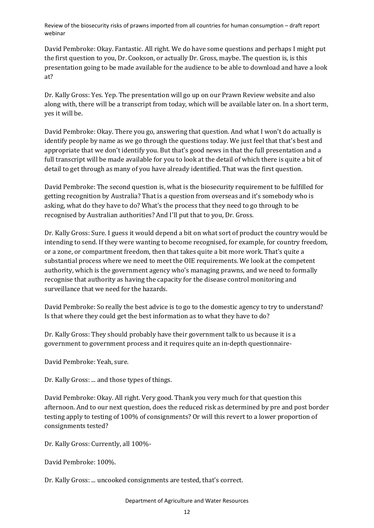David Pembroke: Okay. Fantastic. All right. We do have some questions and perhaps I might put the first question to you, Dr. Cookson, or actually Dr. Gross, maybe. The question is, is this presentation going to be made available for the audience to be able to download and have a look at?

Dr. Kally Gross: Yes. Yep. The presentation will go up on our Prawn Review website and also along with, there will be a transcript from today, which will be available later on. In a short term, yes it will be.

David Pembroke: Okay. There you go, answering that question. And what I won't do actually is identify people by name as we go through the questions today. We just feel that that's best and appropriate that we don't identify you. But that's good news in that the full presentation and a full transcript will be made available for you to look at the detail of which there is quite a bit of detail to get through as many of you have already identified. That was the first question.

David Pembroke: The second question is, what is the biosecurity requirement to be fulfilled for getting recognition by Australia? That is a question from overseas and it's somebody who is asking, what do they have to do? What's the process that they need to go through to be recognised by Australian authorities? And I'll put that to you, Dr. Gross.

Dr. Kally Gross: Sure. I guess it would depend a bit on what sort of product the country would be intending to send. If they were wanting to become recognised, for example, for country freedom, or a zone, or compartment freedom, then that takes quite a bit more work. That's quite a substantial process where we need to meet the OIE requirements. We look at the competent authority, which is the government agency who's managing prawns, and we need to formally recognise that authority as having the capacity for the disease control monitoring and surveillance that we need for the hazards.

David Pembroke: So really the best advice is to go to the domestic agency to try to understand? Is that where they could get the best information as to what they have to do?

Dr. Kally Gross: They should probably have their government talk to us because it is a government to government process and it requires quite an in-depth questionnaire-

David Pembroke: Yeah, sure.

Dr. Kally Gross: ... and those types of things.

David Pembroke: Okay. All right. Very good. Thank you very much for that question this afternoon. And to our next question, does the reduced risk as determined by pre and post border testing apply to testing of 100% of consignments? Or will this revert to a lower proportion of consignments tested?

Dr. Kally Gross: Currently, all 100%-

David Pembroke: 100%.

Dr. Kally Gross: ... uncooked consignments are tested, that's correct.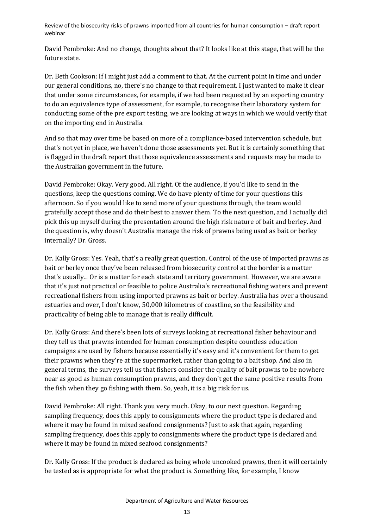David Pembroke: And no change, thoughts about that? It looks like at this stage, that will be the future state.

Dr. Beth Cookson: If I might just add a comment to that. At the current point in time and under our general conditions, no, there's no change to that requirement. I just wanted to make it clear that under some circumstances, for example, if we had been requested by an exporting country to do an equivalence type of assessment, for example, to recognise their laboratory system for conducting some of the pre export testing, we are looking at ways in which we would verify that on the importing end in Australia.

And so that may over time be based on more of a compliance-based intervention schedule, but that's not yet in place, we haven't done those assessments yet. But it is certainly something that is flagged in the draft report that those equivalence assessments and requests may be made to the Australian government in the future.

David Pembroke: Okay. Very good. All right. Of the audience, if you'd like to send in the questions, keep the questions coming. We do have plenty of time for your questions this afternoon. So if you would like to send more of your questions through, the team would gratefully accept those and do their best to answer them. To the next question, and I actually did pick this up myself during the presentation around the high risk nature of bait and berley. And the question is, why doesn't Australia manage the risk of prawns being used as bait or berley internally? Dr. Gross.

Dr. Kally Gross: Yes. Yeah, that's a really great question. Control of the use of imported prawns as bait or berley once they've been released from biosecurity control at the border is a matter that's usually... Or is a matter for each state and territory government. However, we are aware that it's just not practical or feasible to police Australia's recreational fishing waters and prevent recreational fishers from using imported prawns as bait or berley. Australia has over a thousand estuaries and over, I don't know, 50,000 kilometres of coastline, so the feasibility and practicality of being able to manage that is really difficult.

Dr. Kally Gross: And there's been lots of surveys looking at recreational fisher behaviour and they tell us that prawns intended for human consumption despite countless education campaigns are used by fishers because essentially it's easy and it's convenient for them to get their prawns when they're at the supermarket, rather than going to a bait shop. And also in general terms, the surveys tell us that fishers consider the quality of bait prawns to be nowhere near as good as human consumption prawns, and they don't get the same positive results from the fish when they go fishing with them. So, yeah, it is a big risk for us.

David Pembroke: All right. Thank you very much. Okay, to our next question. Regarding sampling frequency, does this apply to consignments where the product type is declared and where it may be found in mixed seafood consignments? Just to ask that again, regarding sampling frequency, does this apply to consignments where the product type is declared and where it may be found in mixed seafood consignments?

Dr. Kally Gross: If the product is declared as being whole uncooked prawns, then it will certainly be tested as is appropriate for what the product is. Something like, for example, I know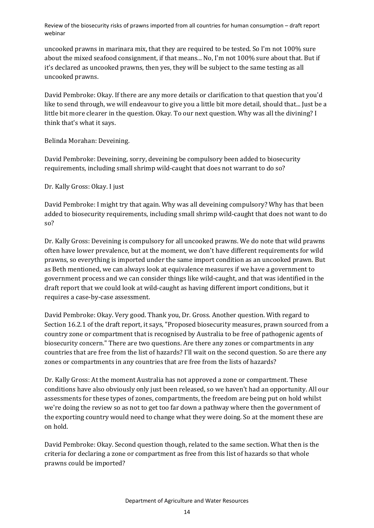uncooked prawns in marinara mix, that they are required to be tested. So I'm not 100% sure about the mixed seafood consignment, if that means... No, I'm not 100% sure about that. But if it's declared as uncooked prawns, then yes, they will be subject to the same testing as all uncooked prawns.

David Pembroke: Okay. If there are any more details or clarification to that question that you'd like to send through, we will endeavour to give you a little bit more detail, should that... Just be a little bit more clearer in the question. Okay. To our next question. Why was all the divining? I think that's what it says.

Belinda Morahan: Deveining.

David Pembroke: Deveining, sorry, deveining be compulsory been added to biosecurity requirements, including small shrimp wild-caught that does not warrant to do so?

Dr. Kally Gross: Okay. I just

David Pembroke: I might try that again. Why was all deveining compulsory? Why has that been added to biosecurity requirements, including small shrimp wild-caught that does not want to do so?

Dr. Kally Gross: Deveining is compulsory for all uncooked prawns. We do note that wild prawns often have lower prevalence, but at the moment, we don't have different requirements for wild prawns, so everything is imported under the same import condition as an uncooked prawn. But as Beth mentioned, we can always look at equivalence measures if we have a government to government process and we can consider things like wild-caught, and that was identified in the draft report that we could look at wild-caught as having different import conditions, but it requires a case-by-case assessment.

David Pembroke: Okay. Very good. Thank you, Dr. Gross. Another question. With regard to Section 16.2.1 of the draft report, it says, "Proposed biosecurity measures, prawn sourced from a country zone or compartment that is recognised by Australia to be free of pathogenic agents of biosecurity concern." There are two questions. Are there any zones or compartments in any countries that are free from the list of hazards? I'll wait on the second question. So are there any zones or compartments in any countries that are free from the lists of hazards?

Dr. Kally Gross: At the moment Australia has not approved a zone or compartment. These conditions have also obviously only just been released, so we haven't had an opportunity. All our assessments for these types of zones, compartments, the freedom are being put on hold whilst we're doing the review so as not to get too far down a pathway where then the government of the exporting country would need to change what they were doing. So at the moment these are on hold.

David Pembroke: Okay. Second question though, related to the same section. What then is the criteria for declaring a zone or compartment as free from this list of hazards so that whole prawns could be imported?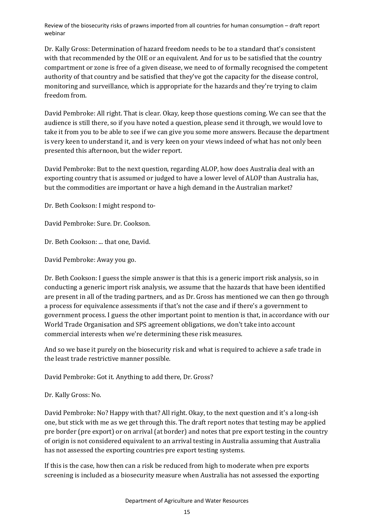Dr. Kally Gross: Determination of hazard freedom needs to be to a standard that's consistent with that recommended by the OIE or an equivalent. And for us to be satisfied that the country compartment or zone is free of a given disease, we need to of formally recognised the competent authority of that country and be satisfied that they've got the capacity for the disease control, monitoring and surveillance, which is appropriate for the hazards and they're trying to claim freedom from.

David Pembroke: All right. That is clear. Okay, keep those questions coming. We can see that the audience is still there, so if you have noted a question, please send it through, we would love to take it from you to be able to see if we can give you some more answers. Because the department is very keen to understand it, and is very keen on your views indeed of what has not only been presented this afternoon, but the wider report.

David Pembroke: But to the next question, regarding ALOP, how does Australia deal with an exporting country that is assumed or judged to have a lower level of ALOP than Australia has, but the commodities are important or have a high demand in the Australian market?

Dr. Beth Cookson: I might respond to-

David Pembroke: Sure. Dr. Cookson.

Dr. Beth Cookson: ... that one, David.

David Pembroke: Away you go.

Dr. Beth Cookson: I guess the simple answer is that this is a generic import risk analysis, so in conducting a generic import risk analysis, we assume that the hazards that have been identified are present in all of the trading partners, and as Dr. Gross has mentioned we can then go through a process for equivalence assessments if that's not the case and if there's a government to government process. I guess the other important point to mention is that, in accordance with our World Trade Organisation and SPS agreement obligations, we don't take into account commercial interests when we're determining these risk measures.

And so we base it purely on the biosecurity risk and what is required to achieve a safe trade in the least trade restrictive manner possible.

David Pembroke: Got it. Anything to add there, Dr. Gross?

Dr. Kally Gross: No.

David Pembroke: No? Happy with that? All right. Okay, to the next question and it's a long-ish one, but stick with me as we get through this. The draft report notes that testing may be applied pre border (pre export) or on arrival (at border) and notes that pre export testing in the country of origin is not considered equivalent to an arrival testing in Australia assuming that Australia has not assessed the exporting countries pre export testing systems.

If this is the case, how then can a risk be reduced from high to moderate when pre exports screening is included as a biosecurity measure when Australia has not assessed the exporting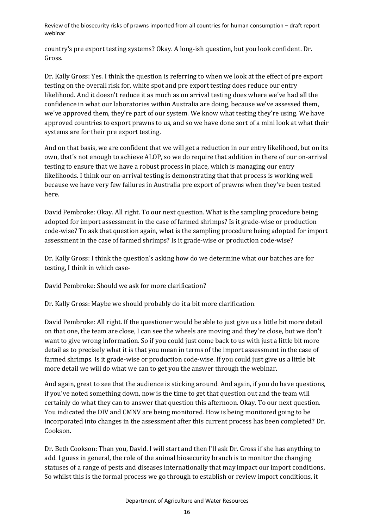country's pre export testing systems? Okay. A long-ish question, but you look confident. Dr. Gross.

Dr. Kally Gross: Yes. I think the question is referring to when we look at the effect of pre export testing on the overall risk for, white spot and pre export testing does reduce our entry likelihood. And it doesn't reduce it as much as on arrival testing does where we've had all the confidence in what our laboratories within Australia are doing, because we've assessed them, we've approved them, they're part of our system. We know what testing they're using. We have approved countries to export prawns to us, and so we have done sort of a mini look at what their systems are for their pre export testing.

And on that basis, we are confident that we will get a reduction in our entry likelihood, but on its own, that's not enough to achieve ALOP, so we do require that addition in there of our on-arrival testing to ensure that we have a robust process in place, which is managing our entry likelihoods. I think our on-arrival testing is demonstrating that that process is working well because we have very few failures in Australia pre export of prawns when they've been tested here.

David Pembroke: Okay. All right. To our next question. What is the sampling procedure being adopted for import assessment in the case of farmed shrimps? Is it grade-wise or production code-wise? To ask that question again, what is the sampling procedure being adopted for import assessment in the case of farmed shrimps? Is it grade-wise or production code-wise?

Dr. Kally Gross: I think the question's asking how do we determine what our batches are for testing, I think in which case-

David Pembroke: Should we ask for more clarification?

Dr. Kally Gross: Maybe we should probably do it a bit more clarification.

David Pembroke: All right. If the questioner would be able to just give us a little bit more detail on that one, the team are close, I can see the wheels are moving and they're close, but we don't want to give wrong information. So if you could just come back to us with just a little bit more detail as to precisely what it is that you mean in terms of the import assessment in the case of farmed shrimps. Is it grade-wise or production code-wise. If you could just give us a little bit more detail we will do what we can to get you the answer through the webinar.

And again, great to see that the audience is sticking around. And again, if you do have questions, if you've noted something down, now is the time to get that question out and the team will certainly do what they can to answer that question this afternoon. Okay. To our next question. You indicated the DIV and CMNV are being monitored. How is being monitored going to be incorporated into changes in the assessment after this current process has been completed? Dr. Cookson.

Dr. Beth Cookson: Than you, David. I will start and then I'll ask Dr. Gross if she has anything to add. I guess in general, the role of the animal biosecurity branch is to monitor the changing statuses of a range of pests and diseases internationally that may impact our import conditions. So whilst this is the formal process we go through to establish or review import conditions, it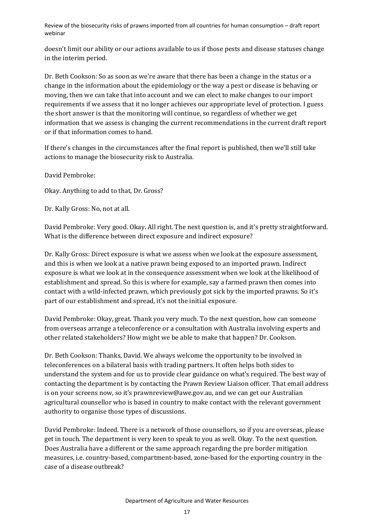doesn't limit our ability or our actions available to us if those pests and disease statuses change in the interim period.

Dr. Beth Cookson: So as soon as we're aware that there has been a change in the status or a change in the information about the epidemiology or the way a pest or disease is behaving or moving, then we can take that into account and we can elect to make changes to our import requirements if we assess that it no longer achieves our appropriate level of protection. I guess the short answer is that the monitoring will continue, so regardless of whether we get information that we assess is changing the current recommendations in the current draft report or if that information comes to hand.

If there's changes in the circumstances after the final report is published, then we'll still take actions to manage the biosecurity risk to Australia.

David Pembroke:

Okay. Anything to add to that, Dr. Gross?

Dr. Kally Gross: No, not at all.

David Pembroke: Very good. Okay. All right. The next question is, and it's pretty straightforward. What is the difference between direct exposure and indirect exposure?

Dr. Kally Gross: Direct exposure is what we assess when we look at the exposure assessment, and this is when we look at a native prawn being exposed to an imported prawn. Indirect exposure is what we look at in the consequence assessment when we look at the likelihood of establishment and spread. So this is where for example, say a farmed prawn then comes into contact with a wild-infected prawn, which previously got sick by the imported prawns. So it's part of our establishment and spread, it's not the initial exposure.

David Pembroke: Okay, great. Thank you very much. To the next question, how can someone from overseas arrange a teleconference or a consultation with Australia involving experts and other related stakeholders? How might we be able to make that happen? Dr. Cookson.

Dr. Beth Cookson: Thanks, David. We always welcome the opportunity to be involved in teleconferences on a bilateral basis with trading partners. It often helps both sides to understand the system and for us to provide clear guidance on what's required. The best way of contacting the department is by contacting the Prawn Review Liaison officer. That email address is on your screens now, so it's prawnreview@awe.gov.au, and we can get our Australian agricultural counsellor who is based in country to make contact with the relevant government authority to organise those types of discussions.

David Pembroke: Indeed. There is a network of those counsellors, so if you are overseas, please get in touch. The department is very keen to speak to you as well. Okay. To the next question. Does Australia have a different or the same approach regarding the pre border mitigation measures, i.e. country-based, compartment-based, zone-based for the exporting country in the case of a disease outbreak?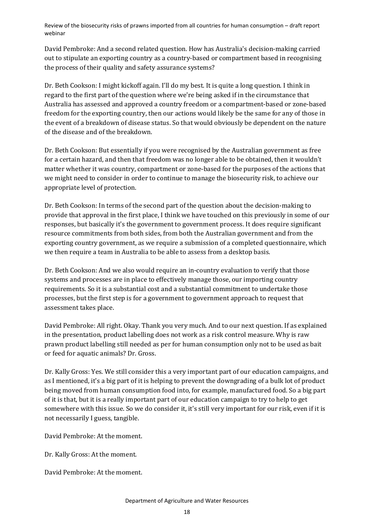David Pembroke: And a second related question. How has Australia's decision-making carried out to stipulate an exporting country as a country-based or compartment based in recognising the process of their quality and safety assurance systems?

Dr. Beth Cookson: I might kickoff again. I'll do my best. It is quite a long question. I think in regard to the first part of the question where we're being asked if in the circumstance that Australia has assessed and approved a country freedom or a compartment-based or zone-based freedom for the exporting country, then our actions would likely be the same for any of those in the event of a breakdown of disease status. So that would obviously be dependent on the nature of the disease and of the breakdown.

Dr. Beth Cookson: But essentially if you were recognised by the Australian government as free for a certain hazard, and then that freedom was no longer able to be obtained, then it wouldn't matter whether it was country, compartment or zone-based for the purposes of the actions that we might need to consider in order to continue to manage the biosecurity risk, to achieve our appropriate level of protection.

Dr. Beth Cookson: In terms of the second part of the question about the decision-making to provide that approval in the first place, I think we have touched on this previously in some of our responses, but basically it's the government to government process. It does require significant resource commitments from both sides, from both the Australian government and from the exporting country government, as we require a submission of a completed questionnaire, which we then require a team in Australia to be able to assess from a desktop basis.

Dr. Beth Cookson: And we also would require an in-country evaluation to verify that those systems and processes are in place to effectively manage those, our importing country requirements. So it is a substantial cost and a substantial commitment to undertake those processes, but the first step is for a government to government approach to request that assessment takes place.

David Pembroke: All right. Okay. Thank you very much. And to our next question. If as explained in the presentation, product labelling does not work as a risk control measure. Why is raw prawn product labelling still needed as per for human consumption only not to be used as bait or feed for aquatic animals? Dr. Gross.

Dr. Kally Gross: Yes. We still consider this a very important part of our education campaigns, and as I mentioned, it's a big part of it is helping to prevent the downgrading of a bulk lot of product being moved from human consumption food into, for example, manufactured food. So a big part of it is that, but it is a really important part of our education campaign to try to help to get somewhere with this issue. So we do consider it, it's still very important for our risk, even if it is not necessarily I guess, tangible.

David Pembroke: At the moment.

Dr. Kally Gross: At the moment.

David Pembroke: At the moment.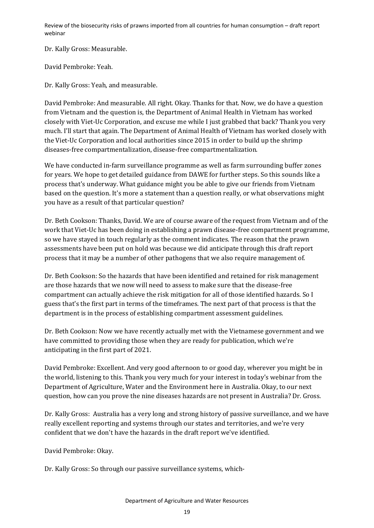Dr. Kally Gross: Measurable.

David Pembroke: Yeah.

Dr. Kally Gross: Yeah, and measurable.

David Pembroke: And measurable. All right. Okay. Thanks for that. Now, we do have a question from Vietnam and the question is, the Department of Animal Health in Vietnam has worked closely with Viet-Uc Corporation, and excuse me while I just grabbed that back? Thank you very much. I'll start that again. The Department of Animal Health of Vietnam has worked closely with the Viet-Uc Corporation and local authorities since 2015 in order to build up the shrimp diseases-free compartmentalization, disease-free compartmentalization.

We have conducted in-farm surveillance programme as well as farm surrounding buffer zones for years. We hope to get detailed guidance from DAWE for further steps. So this sounds like a process that's underway. What guidance might you be able to give our friends from Vietnam based on the question. It's more a statement than a question really, or what observations might you have as a result of that particular question?

Dr. Beth Cookson: Thanks, David. We are of course aware of the request from Vietnam and of the work that Viet-Uc has been doing in establishing a prawn disease-free compartment programme, so we have stayed in touch regularly as the comment indicates. The reason that the prawn assessments have been put on hold was because we did anticipate through this draft report process that it may be a number of other pathogens that we also require management of.

Dr. Beth Cookson: So the hazards that have been identified and retained for risk management are those hazards that we now will need to assess to make sure that the disease-free compartment can actually achieve the risk mitigation for all of those identified hazards. So I guess that's the first part in terms of the timeframes. The next part of that process is that the department is in the process of establishing compartment assessment guidelines.

Dr. Beth Cookson: Now we have recently actually met with the Vietnamese government and we have committed to providing those when they are ready for publication, which we're anticipating in the first part of 2021.

David Pembroke: Excellent. And very good afternoon to or good day, wherever you might be in the world, listening to this. Thank you very much for your interest in today's webinar from the Department of Agriculture, Water and the Environment here in Australia. Okay, to our next question, how can you prove the nine diseases hazards are not present in Australia? Dr. Gross.

Dr. Kally Gross: Australia has a very long and strong history of passive surveillance, and we have really excellent reporting and systems through our states and territories, and we're very confident that we don't have the hazards in the draft report we've identified.

David Pembroke: Okay.

Dr. Kally Gross: So through our passive surveillance systems, which-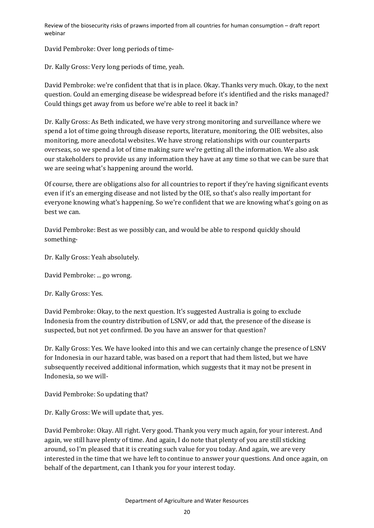David Pembroke: Over long periods of time-

Dr. Kally Gross: Very long periods of time, yeah.

David Pembroke: we're confident that that is in place. Okay. Thanks very much. Okay, to the next question. Could an emerging disease be widespread before it's identified and the risks managed? Could things get away from us before we're able to reel it back in?

Dr. Kally Gross: As Beth indicated, we have very strong monitoring and surveillance where we spend a lot of time going through disease reports, literature, monitoring, the OIE websites, also monitoring, more anecdotal websites. We have strong relationships with our counterparts overseas, so we spend a lot of time making sure we're getting all the information. We also ask our stakeholders to provide us any information they have at any time so that we can be sure that we are seeing what's happening around the world.

Of course, there are obligations also for all countries to report if they're having significant events even if it's an emerging disease and not listed by the OIE, so that's also really important for everyone knowing what's happening. So we're confident that we are knowing what's going on as best we can.

David Pembroke: Best as we possibly can, and would be able to respond quickly should something-

Dr. Kally Gross: Yeah absolutely.

David Pembroke: ... go wrong.

Dr. Kally Gross: Yes.

David Pembroke: Okay, to the next question. It's suggested Australia is going to exclude Indonesia from the country distribution of LSNV, or add that, the presence of the disease is suspected, but not yet confirmed. Do you have an answer for that question?

Dr. Kally Gross: Yes. We have looked into this and we can certainly change the presence of LSNV for Indonesia in our hazard table, was based on a report that had them listed, but we have subsequently received additional information, which suggests that it may not be present in Indonesia, so we will-

David Pembroke: So updating that?

Dr. Kally Gross: We will update that, yes.

David Pembroke: Okay. All right. Very good. Thank you very much again, for your interest. And again, we still have plenty of time. And again, I do note that plenty of you are still sticking around, so I'm pleased that it is creating such value for you today. And again, we are very interested in the time that we have left to continue to answer your questions. And once again, on behalf of the department, can I thank you for your interest today.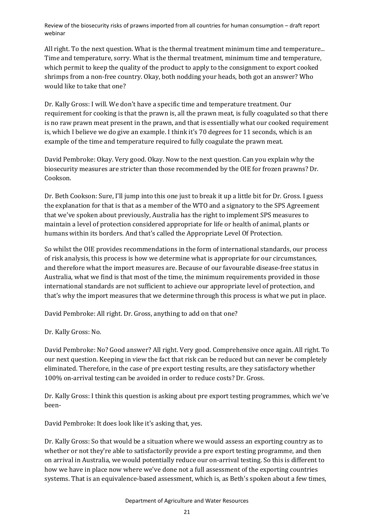All right. To the next question. What is the thermal treatment minimum time and temperature... Time and temperature, sorry. What is the thermal treatment, minimum time and temperature, which permit to keep the quality of the product to apply to the consignment to export cooked shrimps from a non-free country. Okay, both nodding your heads, both got an answer? Who would like to take that one?

Dr. Kally Gross: I will. We don't have a specific time and temperature treatment. Our requirement for cooking is that the prawn is, all the prawn meat, is fully coagulated so that there is no raw prawn meat present in the prawn, and that is essentially what our cooked requirement is, which I believe we do give an example. I think it's 70 degrees for 11 seconds, which is an example of the time and temperature required to fully coagulate the prawn meat.

David Pembroke: Okay. Very good. Okay. Now to the next question. Can you explain why the biosecurity measures are stricter than those recommended by the OIE for frozen prawns? Dr. Cookson.

Dr. Beth Cookson: Sure, I'll jump into this one just to break it up a little bit for Dr. Gross. I guess the explanation for that is that as a member of the WTO and a signatory to the SPS Agreement that we've spoken about previously, Australia has the right to implement SPS measures to maintain a level of protection considered appropriate for life or health of animal, plants or humans within its borders. And that's called the Appropriate Level Of Protection.

So whilst the OIE provides recommendations in the form of international standards, our process of risk analysis, this process is how we determine what is appropriate for our circumstances, and therefore what the import measures are. Because of our favourable disease-free status in Australia, what we find is that most of the time, the minimum requirements provided in those international standards are not sufficient to achieve our appropriate level of protection, and that's why the import measures that we determine through this process is what we put in place.

David Pembroke: All right. Dr. Gross, anything to add on that one?

Dr. Kally Gross: No.

David Pembroke: No? Good answer? All right. Very good. Comprehensive once again. All right. To our next question. Keeping in view the fact that risk can be reduced but can never be completely eliminated. Therefore, in the case of pre export testing results, are they satisfactory whether 100% on-arrival testing can be avoided in order to reduce costs? Dr. Gross.

Dr. Kally Gross: I think this question is asking about pre export testing programmes, which we've been-

David Pembroke: It does look like it's asking that, yes.

Dr. Kally Gross: So that would be a situation where we would assess an exporting country as to whether or not they're able to satisfactorily provide a pre export testing programme, and then on arrival in Australia, we would potentially reduce our on-arrival testing. So this is different to how we have in place now where we've done not a full assessment of the exporting countries systems. That is an equivalence-based assessment, which is, as Beth's spoken about a few times,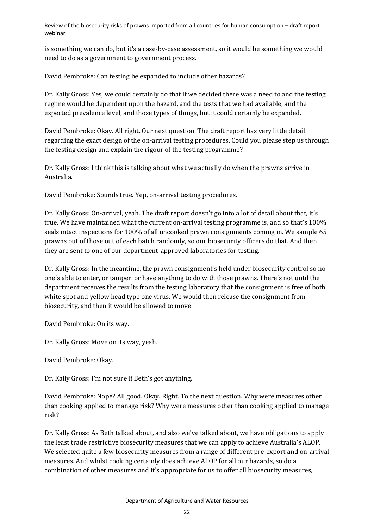is something we can do, but it's a case-by-case assessment, so it would be something we would need to do as a government to government process.

David Pembroke: Can testing be expanded to include other hazards?

Dr. Kally Gross: Yes, we could certainly do that if we decided there was a need to and the testing regime would be dependent upon the hazard, and the tests that we had available, and the expected prevalence level, and those types of things, but it could certainly be expanded.

David Pembroke: Okay. All right. Our next question. The draft report has very little detail regarding the exact design of the on-arrival testing procedures. Could you please step us through the testing design and explain the rigour of the testing programme?

Dr. Kally Gross: I think this is talking about what we actually do when the prawns arrive in Australia.

David Pembroke: Sounds true. Yep, on-arrival testing procedures.

Dr. Kally Gross: On-arrival, yeah. The draft report doesn't go into a lot of detail about that, it's true. We have maintained what the current on-arrival testing programme is, and so that's 100% seals intact inspections for 100% of all uncooked prawn consignments coming in. We sample 65 prawns out of those out of each batch randomly, so our biosecurity officers do that. And then they are sent to one of our department-approved laboratories for testing.

Dr. Kally Gross: In the meantime, the prawn consignment's held under biosecurity control so no one's able to enter, or tamper, or have anything to do with those prawns. There's not until the department receives the results from the testing laboratory that the consignment is free of both white spot and yellow head type one virus. We would then release the consignment from biosecurity, and then it would be allowed to move.

David Pembroke: On its way.

Dr. Kally Gross: Move on its way, yeah.

David Pembroke: Okay.

Dr. Kally Gross: I'm not sure if Beth's got anything.

David Pembroke: Nope? All good. Okay. Right. To the next question. Why were measures other than cooking applied to manage risk? Why were measures other than cooking applied to manage risk?

Dr. Kally Gross: As Beth talked about, and also we've talked about, we have obligations to apply the least trade restrictive biosecurity measures that we can apply to achieve Australia's ALOP. We selected quite a few biosecurity measures from a range of different pre-export and on-arrival measures. And whilst cooking certainly does achieve ALOP for all our hazards, so do a combination of other measures and it's appropriate for us to offer all biosecurity measures,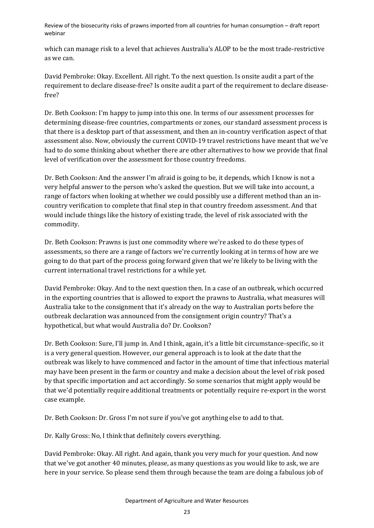which can manage risk to a level that achieves Australia's ALOP to be the most trade-restrictive as we can.

David Pembroke: Okay. Excellent. All right. To the next question. Is onsite audit a part of the requirement to declare disease-free? Is onsite audit a part of the requirement to declare diseasefree?

Dr. Beth Cookson: I'm happy to jump into this one. In terms of our assessment processes for determining disease-free countries, compartments or zones, our standard assessment process is that there is a desktop part of that assessment, and then an in-country verification aspect of that assessment also. Now, obviously the current COVID-19 travel restrictions have meant that we've had to do some thinking about whether there are other alternatives to how we provide that final level of verification over the assessment for those country freedoms.

Dr. Beth Cookson: And the answer I'm afraid is going to be, it depends, which I know is not a very helpful answer to the person who's asked the question. But we will take into account, a range of factors when looking at whether we could possibly use a different method than an incountry verification to complete that final step in that country freedom assessment. And that would include things like the history of existing trade, the level of risk associated with the commodity.

Dr. Beth Cookson: Prawns is just one commodity where we're asked to do these types of assessments, so there are a range of factors we're currently looking at in terms of how are we going to do that part of the process going forward given that we're likely to be living with the current international travel restrictions for a while yet.

David Pembroke: Okay. And to the next question then. In a case of an outbreak, which occurred in the exporting countries that is allowed to export the prawns to Australia, what measures will Australia take to the consignment that it's already on the way to Australian ports before the outbreak declaration was announced from the consignment origin country? That's a hypothetical, but what would Australia do? Dr. Cookson?

Dr. Beth Cookson: Sure, I'll jump in. And I think, again, it's a little bit circumstance-specific, so it is a very general question. However, our general approach is to look at the date that the outbreak was likely to have commenced and factor in the amount of time that infectious material may have been present in the farm or country and make a decision about the level of risk posed by that specific importation and act accordingly. So some scenarios that might apply would be that we'd potentially require additional treatments or potentially require re-export in the worst case example.

Dr. Beth Cookson: Dr. Gross I'm not sure if you've got anything else to add to that.

Dr. Kally Gross: No, I think that definitely covers everything.

David Pembroke: Okay. All right. And again, thank you very much for your question. And now that we've got another 40 minutes, please, as many questions as you would like to ask, we are here in your service. So please send them through because the team are doing a fabulous job of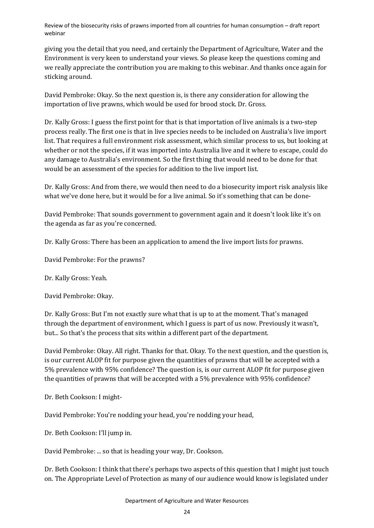giving you the detail that you need, and certainly the Department of Agriculture, Water and the Environment is very keen to understand your views. So please keep the questions coming and we really appreciate the contribution you are making to this webinar. And thanks once again for sticking around.

David Pembroke: Okay. So the next question is, is there any consideration for allowing the importation of live prawns, which would be used for brood stock. Dr. Gross.

Dr. Kally Gross: I guess the first point for that is that importation of live animals is a two-step process really. The first one is that in live species needs to be included on Australia's live import list. That requires a full environment risk assessment, which similar process to us, but looking at whether or not the species, if it was imported into Australia live and it where to escape, could do any damage to Australia's environment. So the first thing that would need to be done for that would be an assessment of the species for addition to the live import list.

Dr. Kally Gross: And from there, we would then need to do a biosecurity import risk analysis like what we've done here, but it would be for a live animal. So it's something that can be done-

David Pembroke: That sounds government to government again and it doesn't look like it's on the agenda as far as you're concerned.

Dr. Kally Gross: There has been an application to amend the live import lists for prawns.

David Pembroke: For the prawns?

Dr. Kally Gross: Yeah.

David Pembroke: Okay.

Dr. Kally Gross: But I'm not exactly sure what that is up to at the moment. That's managed through the department of environment, which I guess is part of us now. Previously it wasn't, but... So that's the process that sits within a different part of the department.

David Pembroke: Okay. All right. Thanks for that. Okay. To the next question, and the question is, is our current ALOP fit for purpose given the quantities of prawns that will be accepted with a 5% prevalence with 95% confidence? The question is, is our current ALOP fit for purpose given the quantities of prawns that will be accepted with a 5% prevalence with 95% confidence?

Dr. Beth Cookson: I might-

David Pembroke: You're nodding your head, you're nodding your head,

Dr. Beth Cookson: I'll jump in.

David Pembroke: ... so that is heading your way, Dr. Cookson.

Dr. Beth Cookson: I think that there's perhaps two aspects of this question that I might just touch on. The Appropriate Level of Protection as many of our audience would know is legislated under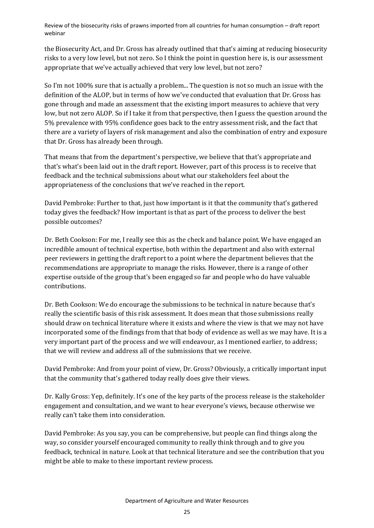the Biosecurity Act, and Dr. Gross has already outlined that that's aiming at reducing biosecurity risks to a very low level, but not zero. So I think the point in question here is, is our assessment appropriate that we've actually achieved that very low level, but not zero?

So I'm not 100% sure that is actually a problem... The question is not so much an issue with the definition of the ALOP, but in terms of how we've conducted that evaluation that Dr. Gross has gone through and made an assessment that the existing import measures to achieve that very low, but not zero ALOP. So if I take it from that perspective, then I guess the question around the 5% prevalence with 95% confidence goes back to the entry assessment risk, and the fact that there are a variety of layers of risk management and also the combination of entry and exposure that Dr. Gross has already been through.

That means that from the department's perspective, we believe that that's appropriate and that's what's been laid out in the draft report. However, part of this process is to receive that feedback and the technical submissions about what our stakeholders feel about the appropriateness of the conclusions that we've reached in the report.

David Pembroke: Further to that, just how important is it that the community that's gathered today gives the feedback? How important is that as part of the process to deliver the best possible outcomes?

Dr. Beth Cookson: For me, I really see this as the check and balance point. We have engaged an incredible amount of technical expertise, both within the department and also with external peer reviewers in getting the draft report to a point where the department believes that the recommendations are appropriate to manage the risks. However, there is a range of other expertise outside of the group that's been engaged so far and people who do have valuable contributions.

Dr. Beth Cookson: We do encourage the submissions to be technical in nature because that's really the scientific basis of this risk assessment. It does mean that those submissions really should draw on technical literature where it exists and where the view is that we may not have incorporated some of the findings from that that body of evidence as well as we may have. It is a very important part of the process and we will endeavour, as I mentioned earlier, to address; that we will review and address all of the submissions that we receive.

David Pembroke: And from your point of view, Dr. Gross? Obviously, a critically important input that the community that's gathered today really does give their views.

Dr. Kally Gross: Yep, definitely. It's one of the key parts of the process release is the stakeholder engagement and consultation, and we want to hear everyone's views, because otherwise we really can't take them into consideration.

David Pembroke: As you say, you can be comprehensive, but people can find things along the way, so consider yourself encouraged community to really think through and to give you feedback, technical in nature. Look at that technical literature and see the contribution that you might be able to make to these important review process.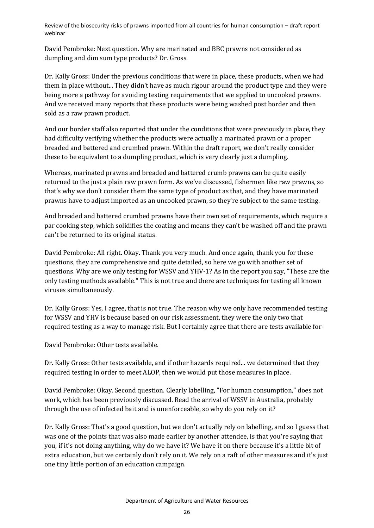David Pembroke: Next question. Why are marinated and BBC prawns not considered as dumpling and dim sum type products? Dr. Gross.

Dr. Kally Gross: Under the previous conditions that were in place, these products, when we had them in place without... They didn't have as much rigour around the product type and they were being more a pathway for avoiding testing requirements that we applied to uncooked prawns. And we received many reports that these products were being washed post border and then sold as a raw prawn product.

And our border staff also reported that under the conditions that were previously in place, they had difficulty verifying whether the products were actually a marinated prawn or a proper breaded and battered and crumbed prawn. Within the draft report, we don't really consider these to be equivalent to a dumpling product, which is very clearly just a dumpling.

Whereas, marinated prawns and breaded and battered crumb prawns can be quite easily returned to the just a plain raw prawn form. As we've discussed, fishermen like raw prawns, so that's why we don't consider them the same type of product as that, and they have marinated prawns have to adjust imported as an uncooked prawn, so they're subject to the same testing.

And breaded and battered crumbed prawns have their own set of requirements, which require a par cooking step, which solidifies the coating and means they can't be washed off and the prawn can't be returned to its original status.

David Pembroke: All right. Okay. Thank you very much. And once again, thank you for these questions, they are comprehensive and quite detailed, so here we go with another set of questions. Why are we only testing for WSSV and YHV-1? As in the report you say, "These are the only testing methods available." This is not true and there are techniques for testing all known viruses simultaneously.

Dr. Kally Gross: Yes, I agree, that is not true. The reason why we only have recommended testing for WSSV and YHV is because based on our risk assessment, they were the only two that required testing as a way to manage risk. But I certainly agree that there are tests available for-

David Pembroke: Other tests available.

Dr. Kally Gross: Other tests available, and if other hazards required... we determined that they required testing in order to meet ALOP, then we would put those measures in place.

David Pembroke: Okay. Second question. Clearly labelling, "For human consumption," does not work, which has been previously discussed. Read the arrival of WSSV in Australia, probably through the use of infected bait and is unenforceable, so why do you rely on it?

Dr. Kally Gross: That's a good question, but we don't actually rely on labelling, and so I guess that was one of the points that was also made earlier by another attendee, is that you're saying that you, if it's not doing anything, why do we have it? We have it on there because it's a little bit of extra education, but we certainly don't rely on it. We rely on a raft of other measures and it's just one tiny little portion of an education campaign.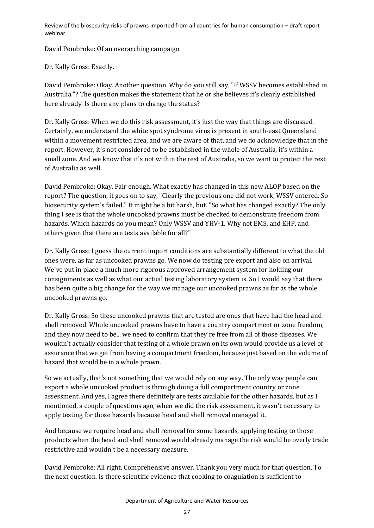David Pembroke: Of an overarching campaign.

Dr. Kally Gross: Exactly.

David Pembroke: Okay. Another question. Why do you still say, "If WSSV becomes established in Australia."? The question makes the statement that he or she believes it's clearly established here already. Is there any plans to change the status?

Dr. Kally Gross: When we do this risk assessment, it's just the way that things are discussed. Certainly, we understand the white spot syndrome virus is present in south-east Queensland within a movement restricted area, and we are aware of that, and we do acknowledge that in the report. However, it's not considered to be established in the whole of Australia, it's within a small zone. And we know that it's not within the rest of Australia, so we want to protect the rest of Australia as well.

David Pembroke: Okay. Fair enough. What exactly has changed in this new ALOP based on the report? The question, it goes on to say, "Clearly the previous one did not work, WSSV entered. So biosecurity system's failed." It might be a bit harsh, but. "So what has changed exactly? The only thing I see is that the whole uncooked prawns must be checked to demonstrate freedom from hazards. Which hazards do you mean? Only WSSV and YHV-1. Why not EMS, and EHP, and others given that there are tests available for all?"

Dr. Kally Gross: I guess the current import conditions are substantially different to what the old ones were, as far as uncooked prawns go. We now do testing pre export and also on arrival. We've put in place a much more rigorous approved arrangement system for holding our consignments as well as what our actual testing laboratory system is. So I would say that there has been quite a big change for the way we manage our uncooked prawns as far as the whole uncooked prawns go.

Dr. Kally Gross: So these uncooked prawns that are tested are ones that have had the head and shell removed. Whole uncooked prawns have to have a country compartment or zone freedom, and they now need to be... we need to confirm that they're free from all of those diseases. We wouldn't actually consider that testing of a whole prawn on its own would provide us a level of assurance that we get from having a compartment freedom, because just based on the volume of hazard that would be in a whole prawn.

So we actually, that's not something that we would rely on any way. The only way people can export a whole uncooked product is through doing a full compartment country or zone assessment. And yes, I agree there definitely are tests available for the other hazards, but as I mentioned, a couple of questions ago, when we did the risk assessment, it wasn't necessary to apply testing for those hazards because head and shell removal managed it.

And because we require head and shell removal for some hazards, applying testing to those products when the head and shell removal would already manage the risk would be overly trade restrictive and wouldn't be a necessary measure.

David Pembroke: All right. Comprehensive answer. Thank you very much for that question. To the next question. Is there scientific evidence that cooking to coagulation is sufficient to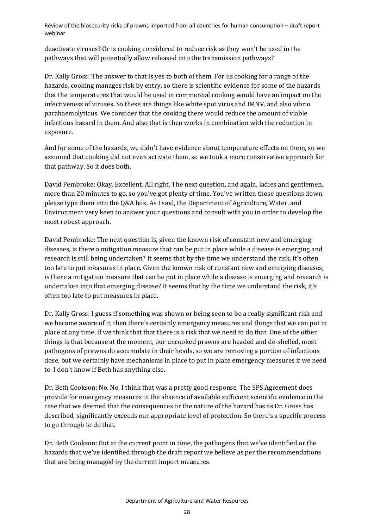deactivate viruses? Or is cooking considered to reduce risk as they won't be used in the pathways that will potentially allow released into the transmission pathways?

Dr. Kally Gross: The answer to that is yes to both of them. For us cooking for a range of the hazards, cooking manages risk by entry, so there is scientific evidence for some of the hazards that the temperatures that would be used in commercial cooking would have an impact on the infectiveness of viruses. So these are things like white spot virus and IMNV, and also vibrio parahaemolyticus. We consider that the cooking there would reduce the amount of viable infectious hazard in them. And also that is then works in combination with the reduction in exposure.

And for some of the hazards, we didn't have evidence about temperature effects on them, so we assumed that cooking did not even activate them, so we took a more conservative approach for that pathway. So it does both.

David Pembroke: Okay. Excellent. All right. The next question, and again, ladies and gentlemen, more than 20 minutes to go, so you've got plenty of time. You've written those questions down, please type them into the Q&A box. As I said, the Department of Agriculture, Water, and Environment very keen to answer your questions and consult with you in order to develop the most robust approach.

David Pembroke: The next question is, given the known risk of constant new and emerging diseases, is there a mitigation measure that can be put in place while a disease is emerging and research is still being undertaken? It seems that by the time we understand the risk, it's often too late to put measures in place. Given the known risk of constant new and emerging diseases, is there a mitigation measure that can be put in place while a disease is emerging and research is undertaken into that emerging disease? It seems that by the time we understand the risk, it's often too late to put measures in place.

Dr. Kally Gross: I guess if something was shown or being seen to be a really significant risk and we became aware of it, then there's certainly emergency measures and things that we can put in place at any time, if we think that that there is a risk that we need to do that. One of the other things is that because at the moment, our uncooked prawns are headed and de-shelled, most pathogens of prawns do accumulate in their heads, so we are removing a portion of infectious dose, but we certainly have mechanisms in place to put in place emergency measures if we need to. I don't know if Beth has anything else.

Dr. Beth Cookson: No. No, I think that was a pretty good response. The SPS Agreement does provide for emergency measures in the absence of available sufficient scientific evidence in the case that we deemed that the consequences or the nature of the hazard has as Dr. Gross has described, significantly exceeds our appropriate level of protection. So there's a specific process to go through to do that.

Dr. Beth Cookson: But at the current point in time, the pathogens that we've identified or the hazards that we've identified through the draft report we believe as per the recommendations that are being managed by the current import measures.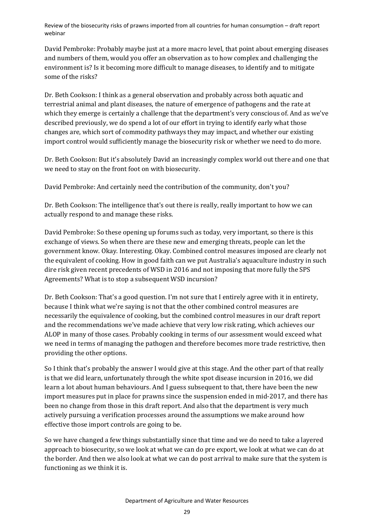David Pembroke: Probably maybe just at a more macro level, that point about emerging diseases and numbers of them, would you offer an observation as to how complex and challenging the environment is? Is it becoming more difficult to manage diseases, to identify and to mitigate some of the risks?

Dr. Beth Cookson: I think as a general observation and probably across both aquatic and terrestrial animal and plant diseases, the nature of emergence of pathogens and the rate at which they emerge is certainly a challenge that the department's very conscious of. And as we've described previously, we do spend a lot of our effort in trying to identify early what those changes are, which sort of commodity pathways they may impact, and whether our existing import control would sufficiently manage the biosecurity risk or whether we need to do more.

Dr. Beth Cookson: But it's absolutely David an increasingly complex world out there and one that we need to stay on the front foot on with biosecurity.

David Pembroke: And certainly need the contribution of the community, don't you?

Dr. Beth Cookson: The intelligence that's out there is really, really important to how we can actually respond to and manage these risks.

David Pembroke: So these opening up forums such as today, very important, so there is this exchange of views. So when there are these new and emerging threats, people can let the government know. Okay. Interesting. Okay. Combined control measures imposed are clearly not the equivalent of cooking. How in good faith can we put Australia's aquaculture industry in such dire risk given recent precedents of WSD in 2016 and not imposing that more fully the SPS Agreements? What is to stop a subsequent WSD incursion?

Dr. Beth Cookson: That's a good question. I'm not sure that I entirely agree with it in entirety, because I think what we're saying is not that the other combined control measures are necessarily the equivalence of cooking, but the combined control measures in our draft report and the recommendations we've made achieve that very low risk rating, which achieves our ALOP in many of those cases. Probably cooking in terms of our assessment would exceed what we need in terms of managing the pathogen and therefore becomes more trade restrictive, then providing the other options.

So I think that's probably the answer I would give at this stage. And the other part of that really is that we did learn, unfortunately through the white spot disease incursion in 2016, we did learn a lot about human behaviours. And I guess subsequent to that, there have been the new import measures put in place for prawns since the suspension ended in mid-2017, and there has been no change from those in this draft report. And also that the department is very much actively pursuing a verification processes around the assumptions we make around how effective those import controls are going to be.

So we have changed a few things substantially since that time and we do need to take a layered approach to biosecurity, so we look at what we can do pre export, we look at what we can do at the border. And then we also look at what we can do post arrival to make sure that the system is functioning as we think it is.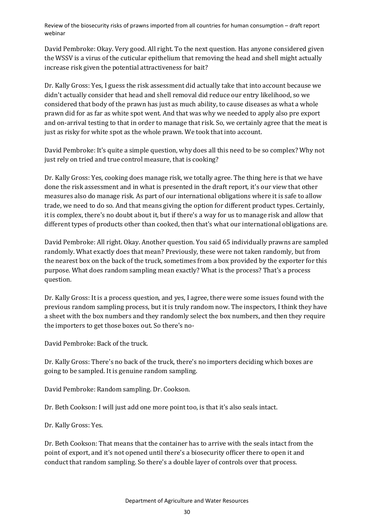David Pembroke: Okay. Very good. All right. To the next question. Has anyone considered given the WSSV is a virus of the cuticular epithelium that removing the head and shell might actually increase risk given the potential attractiveness for bait?

Dr. Kally Gross: Yes, I guess the risk assessment did actually take that into account because we didn't actually consider that head and shell removal did reduce our entry likelihood, so we considered that body of the prawn has just as much ability, to cause diseases as what a whole prawn did for as far as white spot went. And that was why we needed to apply also pre export and on-arrival testing to that in order to manage that risk. So, we certainly agree that the meat is just as risky for white spot as the whole prawn. We took that into account.

David Pembroke: It's quite a simple question, why does all this need to be so complex? Why not just rely on tried and true control measure, that is cooking?

Dr. Kally Gross: Yes, cooking does manage risk, we totally agree. The thing here is that we have done the risk assessment and in what is presented in the draft report, it's our view that other measures also do manage risk. As part of our international obligations where it is safe to allow trade, we need to do so. And that means giving the option for different product types. Certainly, it is complex, there's no doubt about it, but if there's a way for us to manage risk and allow that different types of products other than cooked, then that's what our international obligations are.

David Pembroke: All right. Okay. Another question. You said 65 individually prawns are sampled randomly. What exactly does that mean? Previously, these were not taken randomly, but from the nearest box on the back of the truck, sometimes from a box provided by the exporter for this purpose. What does random sampling mean exactly? What is the process? That's a process question.

Dr. Kally Gross: It is a process question, and yes, I agree, there were some issues found with the previous random sampling process, but it is truly random now. The inspectors, I think they have a sheet with the box numbers and they randomly select the box numbers, and then they require the importers to get those boxes out. So there's no-

David Pembroke: Back of the truck.

Dr. Kally Gross: There's no back of the truck, there's no importers deciding which boxes are going to be sampled. It is genuine random sampling.

David Pembroke: Random sampling. Dr. Cookson.

Dr. Beth Cookson: I will just add one more point too, is that it's also seals intact.

Dr. Kally Gross: Yes.

Dr. Beth Cookson: That means that the container has to arrive with the seals intact from the point of export, and it's not opened until there's a biosecurity officer there to open it and conduct that random sampling. So there's a double layer of controls over that process.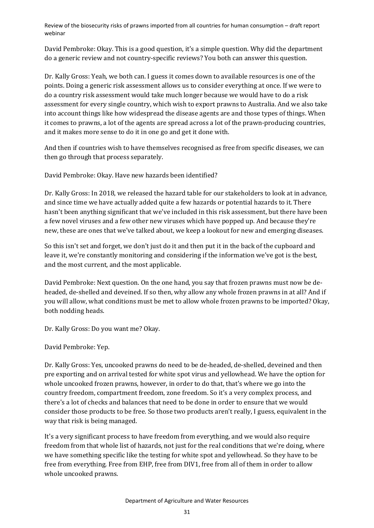David Pembroke: Okay. This is a good question, it's a simple question. Why did the department do a generic review and not country-specific reviews? You both can answer this question.

Dr. Kally Gross: Yeah, we both can. I guess it comes down to available resources is one of the points. Doing a generic risk assessment allows us to consider everything at once. If we were to do a country risk assessment would take much longer because we would have to do a risk assessment for every single country, which wish to export prawns to Australia. And we also take into account things like how widespread the disease agents are and those types of things. When it comes to prawns, a lot of the agents are spread across a lot of the prawn-producing countries, and it makes more sense to do it in one go and get it done with.

And then if countries wish to have themselves recognised as free from specific diseases, we can then go through that process separately.

David Pembroke: Okay. Have new hazards been identified?

Dr. Kally Gross: In 2018, we released the hazard table for our stakeholders to look at in advance, and since time we have actually added quite a few hazards or potential hazards to it. There hasn't been anything significant that we've included in this risk assessment, but there have been a few novel viruses and a few other new viruses which have popped up. And because they're new, these are ones that we've talked about, we keep a lookout for new and emerging diseases.

So this isn't set and forget, we don't just do it and then put it in the back of the cupboard and leave it, we're constantly monitoring and considering if the information we've got is the best, and the most current, and the most applicable.

David Pembroke: Next question. On the one hand, you say that frozen prawns must now be deheaded, de-shelled and deveined. If so then, why allow any whole frozen prawns in at all? And if you will allow, what conditions must be met to allow whole frozen prawns to be imported? Okay, both nodding heads.

Dr. Kally Gross: Do you want me? Okay.

David Pembroke: Yep.

Dr. Kally Gross: Yes, uncooked prawns do need to be de-headed, de-shelled, deveined and then pre exporting and on arrival tested for white spot virus and yellowhead. We have the option for whole uncooked frozen prawns, however, in order to do that, that's where we go into the country freedom, compartment freedom, zone freedom. So it's a very complex process, and there's a lot of checks and balances that need to be done in order to ensure that we would consider those products to be free. So those two products aren't really, I guess, equivalent in the way that risk is being managed.

It's a very significant process to have freedom from everything, and we would also require freedom from that whole list of hazards, not just for the real conditions that we're doing, where we have something specific like the testing for white spot and yellowhead. So they have to be free from everything. Free from EHP, free from DIV1, free from all of them in order to allow whole uncooked prawns.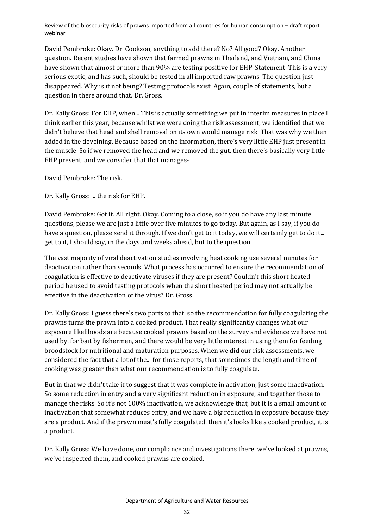David Pembroke: Okay. Dr. Cookson, anything to add there? No? All good? Okay. Another question. Recent studies have shown that farmed prawns in Thailand, and Vietnam, and China have shown that almost or more than 90% are testing positive for EHP. Statement. This is a very serious exotic, and has such, should be tested in all imported raw prawns. The question just disappeared. Why is it not being? Testing protocols exist. Again, couple of statements, but a question in there around that. Dr. Gross.

Dr. Kally Gross: For EHP, when... This is actually something we put in interim measures in place I think earlier this year, because whilst we were doing the risk assessment, we identified that we didn't believe that head and shell removal on its own would manage risk. That was why we then added in the deveining. Because based on the information, there's very little EHP just present in the muscle. So if we removed the head and we removed the gut, then there's basically very little EHP present, and we consider that that manages-

David Pembroke: The risk.

Dr. Kally Gross: ... the risk for EHP.

David Pembroke: Got it. All right. Okay. Coming to a close, so if you do have any last minute questions, please we are just a little over five minutes to go today. But again, as I say, if you do have a question, please send it through. If we don't get to it today, we will certainly get to do it... get to it, I should say, in the days and weeks ahead, but to the question.

The vast majority of viral deactivation studies involving heat cooking use several minutes for deactivation rather than seconds. What process has occurred to ensure the recommendation of coagulation is effective to deactivate viruses if they are present? Couldn't this short heated period be used to avoid testing protocols when the short heated period may not actually be effective in the deactivation of the virus? Dr. Gross.

Dr. Kally Gross: I guess there's two parts to that, so the recommendation for fully coagulating the prawns turns the prawn into a cooked product. That really significantly changes what our exposure likelihoods are because cooked prawns based on the survey and evidence we have not used by, for bait by fishermen, and there would be very little interest in using them for feeding broodstock for nutritional and maturation purposes. When we did our risk assessments, we considered the fact that a lot of the... for those reports, that sometimes the length and time of cooking was greater than what our recommendation is to fully coagulate.

But in that we didn't take it to suggest that it was complete in activation, just some inactivation. So some reduction in entry and a very significant reduction in exposure, and together those to manage the risks. So it's not 100% inactivation, we acknowledge that, but it is a small amount of inactivation that somewhat reduces entry, and we have a big reduction in exposure because they are a product. And if the prawn meat's fully coagulated, then it's looks like a cooked product, it is a product.

Dr. Kally Gross: We have done, our compliance and investigations there, we've looked at prawns, we've inspected them, and cooked prawns are cooked.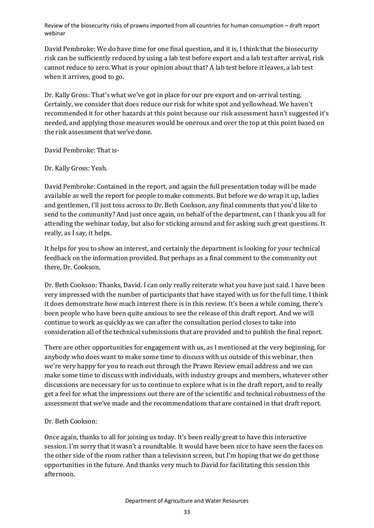David Pembroke: We do have time for one final question, and it is, I think that the biosecurity risk can be sufficiently reduced by using a lab test before export and a lab test after arrival, risk cannot reduce to zero. What is your opinion about that? A lab test before it leaves, a lab test when it arrives, good to go.

Dr. Kally Gross: That's what we've got in place for our pre export and on-arrival testing. Certainly, we consider that does reduce our risk for white spot and yellowhead. We haven't recommended it for other hazards at this point because our risk assessment hasn't suggested it's needed, and applying those measures would be onerous and over the top at this point based on the risk assessment that we've done.

David Pembroke: That is-

Dr. Kally Gross: Yeah.

David Pembroke: Contained in the report, and again the full presentation today will be made available as well the report for people to make comments. But before we do wrap it up, ladies and gentlemen, I'll just toss across to Dr. Beth Cookson, any final comments that you'd like to send to the community? And just once again, on behalf of the department, can I thank you all for attending the webinar today, but also for sticking around and for asking such great questions. It really, as I say, it helps.

It helps for you to show an interest, and certainly the department is looking for your technical feedback on the information provided. But perhaps as a final comment to the community out there, Dr. Cookson,

Dr. Beth Cookson: Thanks, David. I can only really reiterate what you have just said. I have been very impressed with the number of participants that have stayed with us for the full time. I think it does demonstrate how much interest there is in this review. It's been a while coming, there's been people who have been quite anxious to see the release of this draft report. And we will continue to work as quickly as we can after the consultation period closes to take into consideration all of the technical submissions that are provided and to publish the final report.

There are other opportunities for engagement with us, as I mentioned at the very beginning, for anybody who does want to make some time to discuss with us outside of this webinar, then we're very happy for you to reach out through the Prawn Review email address and we can make some time to discuss with individuals, with industry groups and members, whatever other discussions are necessary for us to continue to explore what is in the draft report, and to really get a feel for what the impressions out there are of the scientific and technical robustness of the assessment that we've made and the recommendations that are contained in that draft report.

#### Dr. Beth Cookson:

Once again, thanks to all for joining us today. It's been really great to have this interactive session. I'm sorry that it wasn't a roundtable. It would have been nice to have seen the faces on the other side of the room rather than a television screen, but I'm hoping that we do get those opportunities in the future. And thanks very much to David for facilitating this session this afternoon.